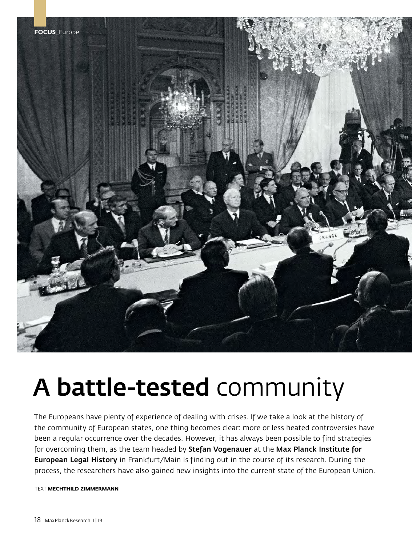

# A battle-tested community

The Europeans have plenty of experience of dealing with crises. If we take a look at the history of the community of European states, one thing becomes clear: more or less heated controversies have been a regular occurrence over the decades. However, it has always been possible to find strategies for overcoming them, as the team headed by Stefan Vogenauer at the Max Planck Institute for European Legal History in Frankfurt/Main is finding out in the course of its research. During the process, the researchers have also gained new insights into the current state of the European Union.

TEXT **MECHTHILD ZIMMERMANN**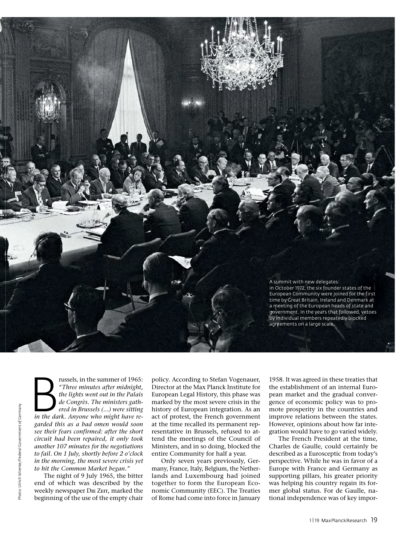

Fussels, in the summer of 1965:<br> *in the lights went out in the Palais*<br> *de Congrès. The ministers gathered in Brussels (...) were sitting*<br> *in the dark. Anyone who might have re-"Three minutes after midnight, the lights went out in the Palais de Congrès. The ministers gathered in Brussels (...) were sitting garded this as a bad omen would soon see their fears confirmed: after the short circuit had been repaired, it only took another 107 minutes for the negotiations to fail. On 1 July, shortly before 2 o'clock in the morning, the most severe crisis yet to hit the Common Market began."* 

The night of 9 July 1965, the bitter end of which was described by the weekly newspaper D**ie** Z**eit,** marked the beginning of the use of the empty chair

policy. According to Stefan Vogenauer, Director at the Max Planck Institute for European Legal History, this phase was marked by the most severe crisis in the history of European integration. As an act of protest, the French government at the time recalled its permanent representative in Brussels, refused to attend the meetings of the Council of Ministers, and in so doing, blocked the entire Community for half a year.

Only seven years previously, Germany, France, Italy, Belgium, the Netherlands and Luxembourg had joined together to form the European Economic Community (EEC). The Treaties of Rome had come into force in January 1958. It was agreed in these treaties that the establishment of an internal European market and the gradual convergence of economic policy was to promote prosperity in the countries and improve relations between the states. However, opinions about how far integration would have to go varied widely.

The French President at the time, Charles de Gaulle, could certainly be described as a Eurosceptic from today's perspective. While he was in favor of a Europe with France and Germany as supporting pillars, his greater priority was helping his country regain its former global status. For de Gaulle, national independence was of key impor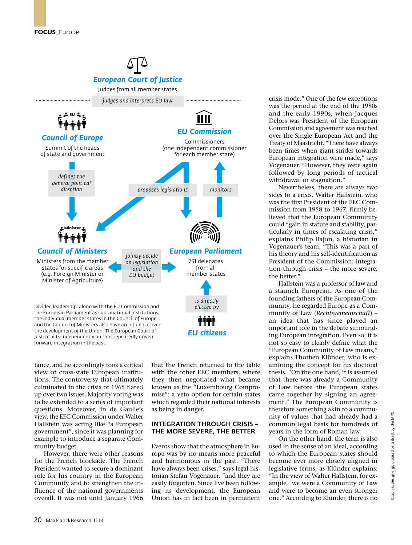

tance, and he accordingly took a critical view of cross-state European institutions. The controversy that ultimately culminated in the crisis of 1965 flared up over two issues. Majority voting was to be extended to a series of important questions. Moreover, in de Gaulle's view, the EEC Commission under Walter Hallstein was acting like "a European government", since it was planning for example to introduce a separate Community budget.

However, there were other reasons for the French blockade. The French President wanted to secure a dominant role for his country in the European Community and to strengthen the influence of the national governments overall. It was not until January 1966 that the French returned to the table with the other EEC members, where they then negotiated what became known as the "Luxembourg Compromise": a veto option for certain states which regarded their national interests as being in danger.

## INTEGRATION THROUGH CRISIS – THE MORE SEVERE, THE BETTER

Events show that the atmosphere in Europe was by no means more peaceful and harmonious in the past. "There have always been crises," says legal historian Stefan Vogenauer, "and they are easily forgotten. Since I've been following its development, the European Union has in fact been in permanent crisis mode." One of the few exceptions was the period at the end of the 1980s and the early 1990s, when Jacques Delors was President of the European Commission and agreement was reached over the Single European Act and the Treaty of Maastricht. "There have always been times when giant strides towards European integration were made," says Vogenauer. "However, they were again followed by long periods of tactical withdrawal or stagnation."

Nevertheless, there are always two sides to a crisis. Walter Hallstein, who was the first President of the EEC Commission from 1958 to 1967, firmly believed that the European Community could "gain in stature and stability, particularly in times of escalating crisis," explains Philip Bajon, a historian in Vogenauer's team. "This was a part of his theory and his self-identification as President of the Commission: integration through crisis – the more severe, the better."

Hallstein was a professor of law and a staunch European. As one of the founding fathers of the European Community, he regarded Europe as a Community of Law (*Rechtsgemeinschaft*) – an idea that has since played an important role in the debate surrounding European integration. Even so, it is not so easy to clearly define what the "European Community of Law means," explains Thorben Klünder, who is examining the concept for his doctoral thesis. "On the one hand, it is assumed that there was already a Community of Law before the European states came together by signing an agreement." The European Community is therefore something akin to a community of values that had already had a common legal basis for hundreds of years in the form of Roman law.

On the other hand, the term is also used in the sense of an ideal, according to which the European states should become ever more closely aligned in legislative terms, as Klünder explains: "In the view of Walter Hallstein, for example, we were a Community of Law and were to become an even stronger one." According to Klünder, there is no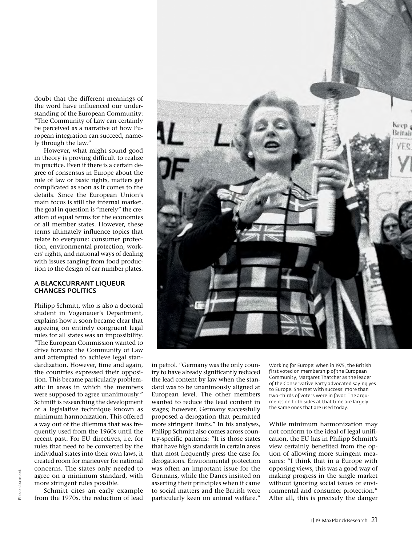doubt that the different meanings of the word have influenced our understanding of the European Community: "The Community of Law can certainly be perceived as a narrative of how European integration can succeed, namely through the law."

However, what might sound good in theory is proving difficult to realize in practice. Even if there is a certain degree of consensus in Europe about the rule of law or basic rights, matters get complicated as soon as it comes to the details. Since the European Union's main focus is still the internal market, the goal in question is "merely" the creation of equal terms for the economies of all member states. However, these terms ultimately influence topics that relate to everyone: consumer protection, environmental protection, workers' rights, and national ways of dealing with issues ranging from food production to the design of car number plates.

### A BLACKCURRANT LIQUEUR CHANGES POLITICS

Philipp Schmitt, who is also a doctoral student in Vogenauer's Department, explains how it soon became clear that agreeing on entirely congruent legal rules for all states was an impossibility. "The European Commission wanted to drive forward the Community of Law and attempted to achieve legal standardization. However, time and again, the countries expressed their opposition. This became particularly problematic in areas in which the members were supposed to agree unanimously." Schmitt is researching the development of a legislative technique known as minimum harmonization. This offered a way out of the dilemma that was frequently used from the 1960s until the recent past. For EU directives, i.e. for rules that need to be converted by the individual states into their own laws, it created room for maneuver for national concerns. The states only needed to agree on a minimum standard, with more stringent rules possible.

Schmitt cites an early example from the 1970s, the reduction of lead



in petrol. "Germany was the only country to have already significantly reduced the lead content by law when the standard was to be unanimously aligned at European level. The other members wanted to reduce the lead content in stages; however, Germany successfully proposed a derogation that permitted more stringent limits." In his analyses, Philipp Schmitt also comes across country-specific patterns: "It is those states that have high standards in certain areas that most frequently press the case for derogations. Environmental protection was often an important issue for the Germans, while the Danes insisted on asserting their principles when it came to social matters and the British were particularly keen on animal welfare."

Working for Europe: when in 1975, the British first voted on membership of the European Community, Margaret Thatcher as the leader of the Conservative Party advocated saying yes to Europe. She met with success: more than two-thirds of voters were in favor. The arguments on both sides at that time are largely the same ones that are used today.

While minimum harmonization may not conform to the ideal of legal unification, the EU has in Philipp Schmitt's view certainly benefited from the option of allowing more stringent measures: "I think that in a Europe with opposing views, this was a good way of making progress in the single market without ignoring social issues or environmental and consumer protection." After all, this is precisely the danger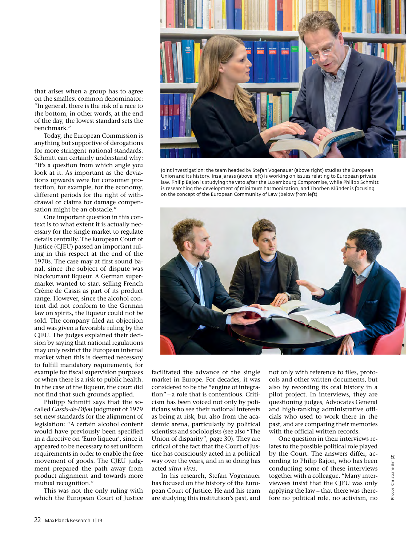that arises when a group has to agree on the smallest common denominator: "In general, there is the risk of a race to the bottom; in other words, at the end of the day, the lowest standard sets the benchmark."

Today, the European Commission is anything but supportive of derogations for more stringent national standards. Schmitt can certainly understand why: "It's a question from which angle you look at it. As important as the deviations upwards were for consumer protection, for example, for the economy, different periods for the right of withdrawal or claims for damage compensation might be an obstacle."

One important question in this context is to what extent it is actually necessary for the single market to regulate details centrally. The European Court of Justice (CJEU) passed an important ruling in this respect at the end of the 1970s. The case may at first sound banal, since the subject of dispute was blackcurrant liqueur. A German supermarket wanted to start selling French Crème de Cassis as part of its product range. However, since the alcohol content did not conform to the German law on spirits, the liqueur could not be sold. The company filed an objection and was given a favorable ruling by the CJEU. The judges explained their decision by saying that national regulations may only restrict the European internal market when this is deemed necessary to fulfill mandatory requirements, for example for fiscal supervision purposes or when there is a risk to public health. In the case of the liqueur, the court did not find that such grounds applied.

Philipp Schmitt says that the socalled *Cassis-de-Dijon* judgment of 1979 set new standards for the alignment of legislation: "A certain alcohol content would have previously been specified in a directive on 'Euro liqueur', since it appeared to be necessary to set uniform requirements in order to enable the free movement of goods. The CJEU judgment prepared the path away from product alignment and towards more mutual recognition."

This was not the only ruling with which the European Court of Justice



Joint investigation: the team headed by Stefan Vogenauer (above right) studies the European Union and its history. Insa Jarass (above left) is working on issues relating to European private law. Philip Bajon is studying the veto after the Luxembourg Compromise, while Philipp Schmitt is researching the development of minimum harmonization, and Thorben Klünder is focusing on the concept of the European Community of Law (below from left).



facilitated the advance of the single market in Europe. For decades, it was considered to be the "engine of integration" – a role that is contentious. Criticism has been voiced not only by politicians who see their national interests as being at risk, but also from the academic arena, particularly by political scientists and sociologists (see also "The Union of disparity", page 30). They are critical of the fact that the Court of Justice has consciously acted in a political way over the years, and in so doing has acted *ultra vires.*

In his research, Stefan Vogenauer has focused on the history of the European Court of Justice. He and his team are studying this institution's past, and not only with reference to files, protocols and other written documents, but also by recording its oral history in a pilot project. In interviews, they are questioning judges, Advocates General and high-ranking administrative officials who used to work there in the past, and are comparing their memories with the official written records.

One question in their interviews relates to the possible political role played by the Court. The answers differ, according to Philip Bajon, who has been conducting some of these interviews together with a colleague. "Many interviewees insist that the CJEU was only applying the law – that there was therefore no political role, no activism, no